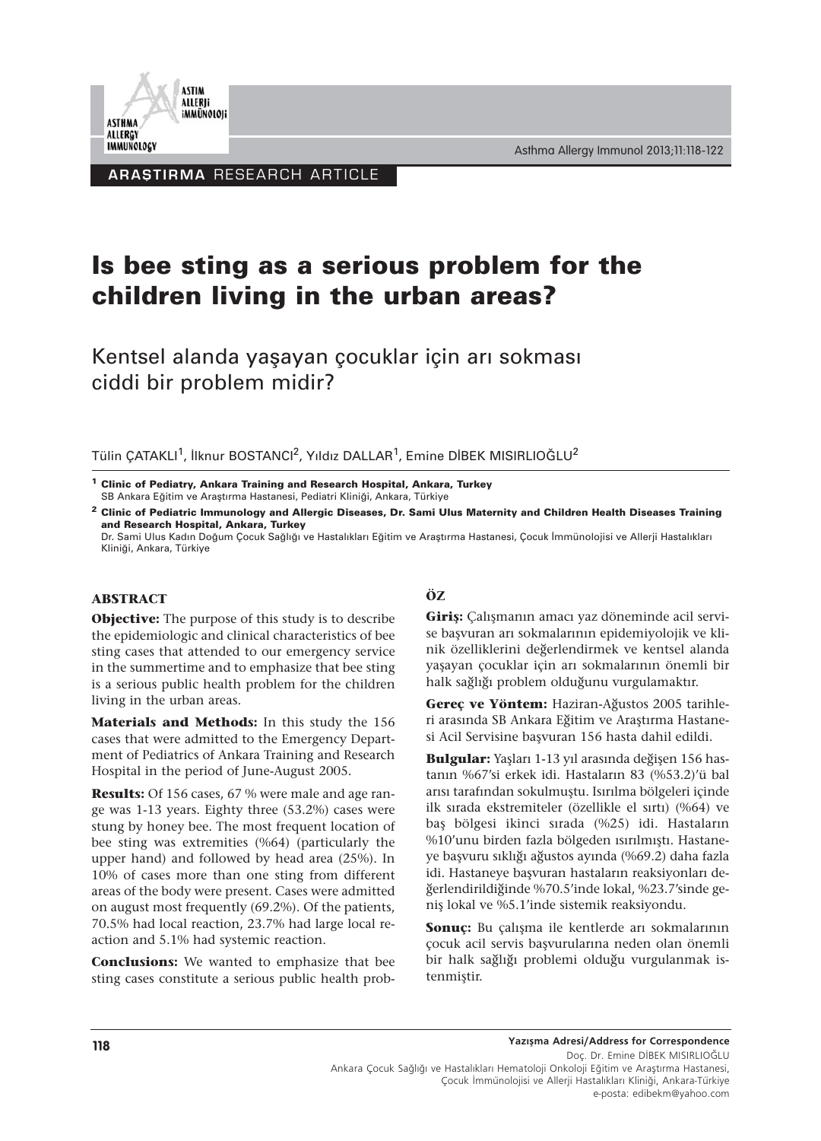

Asthma Allergy Immunol 2013;11:118-122

**ARAȘTIRMA RESEARCH ARTICLE** 

# **Is bee sting as a serious problem for the children living in the urban areas?**

Kentsel alanda yaşayan çocuklar için arı sokması ciddi bir problem midir?

Tülin ÇATAKLI<sup>1</sup>, İlknur BOSTANCI<sup>2</sup>, Yıldız DALLAR<sup>1</sup>, Emine DİBEK MISIRLIOĞLU<sup>2</sup>

Dr. Sami Ulus Kadın Doğum Çocuk Sağlığı ve Hastalıkları Eğitim ve Araştırma Hastanesi, Çocuk İmmünolojisi ve Allerji Hastalıkları Kliniği, Ankara, Türkiye

#### **ABSTRACT**

**Objective:** The purpose of this study is to describe the epidemiologic and clinical characteristics of bee sting cases that attended to our emergency service in the summertime and to emphasize that bee sting is a serious public health problem for the children living in the urban areas.

**Materials and Methods:** In this study the 156 cases that were admitted to the Emergency Department of Pediatrics of Ankara Training and Research Hospital in the period of June-August 2005.

**Results:** Of 156 cases, 67 % were male and age range was 1-13 years. Eighty three (53.2%) cases were stung by honey bee. The most frequent location of bee sting was extremities (%64) (particularly the upper hand) and followed by head area (25%). In 10% of cases more than one sting from different areas of the body were present. Cases were admitted on august most frequently (69.2%). Of the patients, 70.5% had local reaction, 23.7% had large local reaction and 5.1% had systemic reaction.

**Conclusions:** We wanted to emphasize that bee sting cases constitute a serious public health prob-

# **ÖZ**

**Giriş:** Çalışmanın amacı yaz döneminde acil servise başvuran arı sokmalarının epidemiyolojik ve klinik özelliklerini değerlendirmek ve kentsel alanda yaşayan çocuklar için arı sokmalarının önemli bir halk sağlığı problem olduğunu vurgulamaktır.

**Gereç ve Yöntem:** Haziran-Ağustos 2005 tarihleri arasında SB Ankara Eğitim ve Araştırma Hastanesi Acil Servisine başvuran 156 hasta dahil edildi.

**Bulgular:** Yaşları 1-13 yıl arasında değişen 156 hastanın %67'si erkek idi. Hastaların 83 (%53.2)'ü bal arısı tarafından sokulmuştu. Isırılma bölgeleri içinde ilk sırada ekstremiteler (özellikle el sırtı) (%64) ve baş bölgesi ikinci sırada (%25) idi. Hastaların %10'unu birden fazla bölgeden ısırılmıştı. Hastaneye başvuru sıklığı ağustos ayında (%69.2) daha fazla idi. Hastaneye başvuran hastaların reaksiyonları değerlendirildiğinde %70.5'inde lokal, %23.7'sinde geniş lokal ve %5.1'inde sistemik reaksiyondu.

**Sonuç:** Bu çalışma ile kentlerde arı sokmalarının çocuk acil servis başvurularına neden olan önemli bir halk sağlığı problemi olduğu vurgulanmak istenmiştir.

**<sup>1</sup> Clinic of Pediatry, Ankara Training and Research Hospital, Ankara, Turkey** SB Ankara Eğitim ve Araştırma Hastanesi, Pediatri Kliniği, Ankara, Türkiye

**<sup>2</sup> Clinic of Pediatric Immunology and Allergic Diseases, Dr. Sami Ulus Maternity and Children Health Diseases Training and Research Hospital, Ankara, Turkey**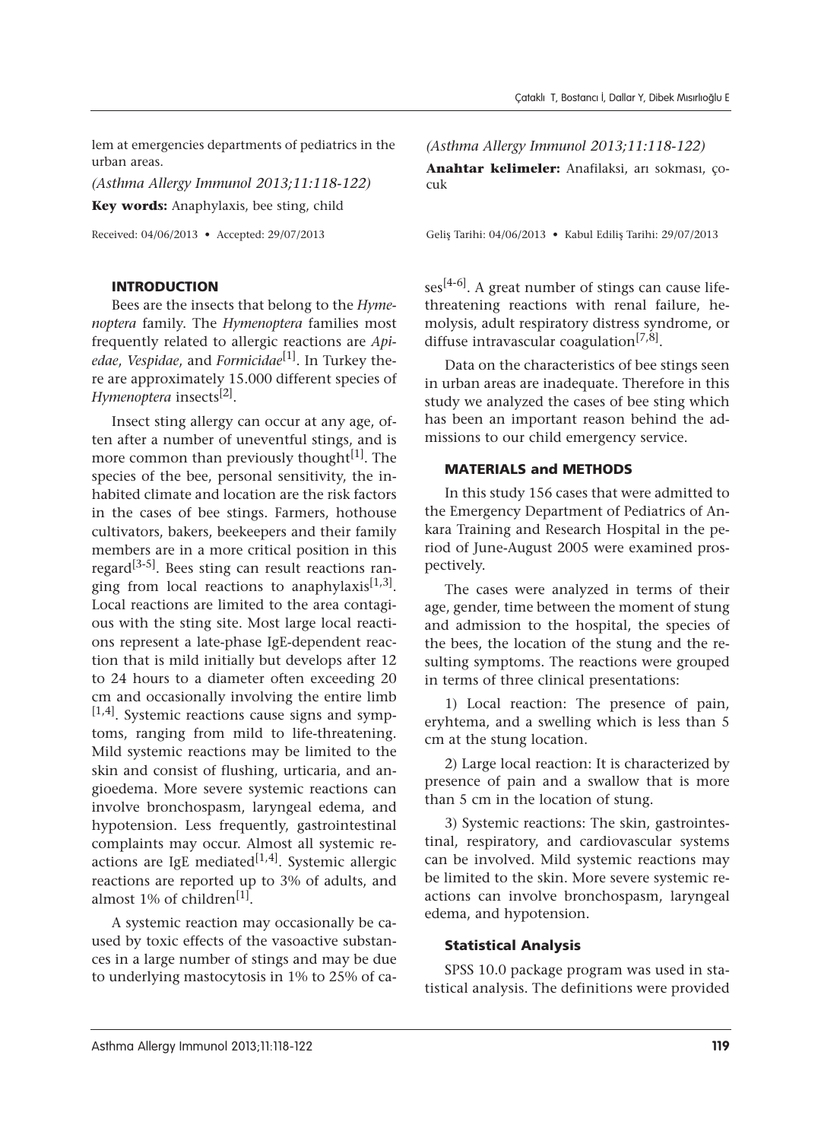lem at emergencies departments of pediatrics in the urban areas.

*(Asthma Allergy Immunol 2013;11:118-122)* **Key words:** Anaphylaxis, bee sting, child

Received: 04/06/2013 • Accepted: 29/07/2013

#### INTRODUCTION

Bees are the insects that belong to the *Hymenoptera* family. The *Hymenoptera* families most frequently related to allergic reactions are *Apiedae*, *Vespidae*, and *Formicidae*[1]. In Turkey there are approximately 15.000 different species of *Hymenoptera* insects<sup>[2]</sup>.

Insect sting allergy can occur at any age, often after a number of uneventful stings, and is more common than previously thought<sup>[1]</sup>. The species of the bee, personal sensitivity, the inhabited climate and location are the risk factors in the cases of bee stings. Farmers, hothouse cultivators, bakers, beekeepers and their family members are in a more critical position in this regard<sup>[3-5]</sup>. Bees sting can result reactions ranging from local reactions to anaphylaxis<sup>[1,3]</sup>. Local reactions are limited to the area contagious with the sting site. Most large local reactions represent a late-phase IgE-dependent reaction that is mild initially but develops after 12 to 24 hours to a diameter often exceeding 20 cm and occasionally involving the entire limb  $[1,4]$ . Systemic reactions cause signs and symptoms, ranging from mild to life-threatening. Mild systemic reactions may be limited to the skin and consist of flushing, urticaria, and angioedema. More severe systemic reactions can involve bronchospasm, laryngeal edema, and hypotension. Less frequently, gastrointestinal complaints may occur. Almost all systemic reactions are IgE mediated<sup>[1,4]</sup>. Systemic allergic reactions are reported up to 3% of adults, and almost 1% of children<sup>[1]</sup>.

A systemic reaction may occasionally be caused by toxic effects of the vasoactive substances in a large number of stings and may be due to underlying mastocytosis in 1% to 25% of ca*(Asthma Allergy Immunol 2013;11:118-122)*

**Anahtar kelimeler:** Anafilaksi, arı sokması, çocuk

Geliş Tarihi: 04/06/2013 • Kabul Ediliş Tarihi: 29/07/2013

 $ses<sup>[4-6]</sup>$ . A great number of stings can cause lifethreatening reactions with renal failure, hemolysis, adult respiratory distress syndrome, or diffuse intravascular coagulation<sup>[7,8]</sup>.

Data on the characteristics of bee stings seen in urban areas are inadequate. Therefore in this study we analyzed the cases of bee sting which has been an important reason behind the admissions to our child emergency service.

#### MATERIALS and METHODS

In this study 156 cases that were admitted to the Emergency Department of Pediatrics of Ankara Training and Research Hospital in the period of June-August 2005 were examined prospectively.

The cases were analyzed in terms of their age, gender, time between the moment of stung and admission to the hospital, the species of the bees, the location of the stung and the resulting symptoms. The reactions were grouped in terms of three clinical presentations:

1) Local reaction: The presence of pain, eryhtema, and a swelling which is less than 5 cm at the stung location.

2) Large local reaction: It is characterized by presence of pain and a swallow that is more than 5 cm in the location of stung.

3) Systemic reactions: The skin, gastrointestinal, respiratory, and cardiovascular systems can be involved. Mild systemic reactions may be limited to the skin. More severe systemic reactions can involve bronchospasm, laryngeal edema, and hypotension.

#### Statistical Analysis

SPSS 10.0 package program was used in statistical analysis. The definitions were provided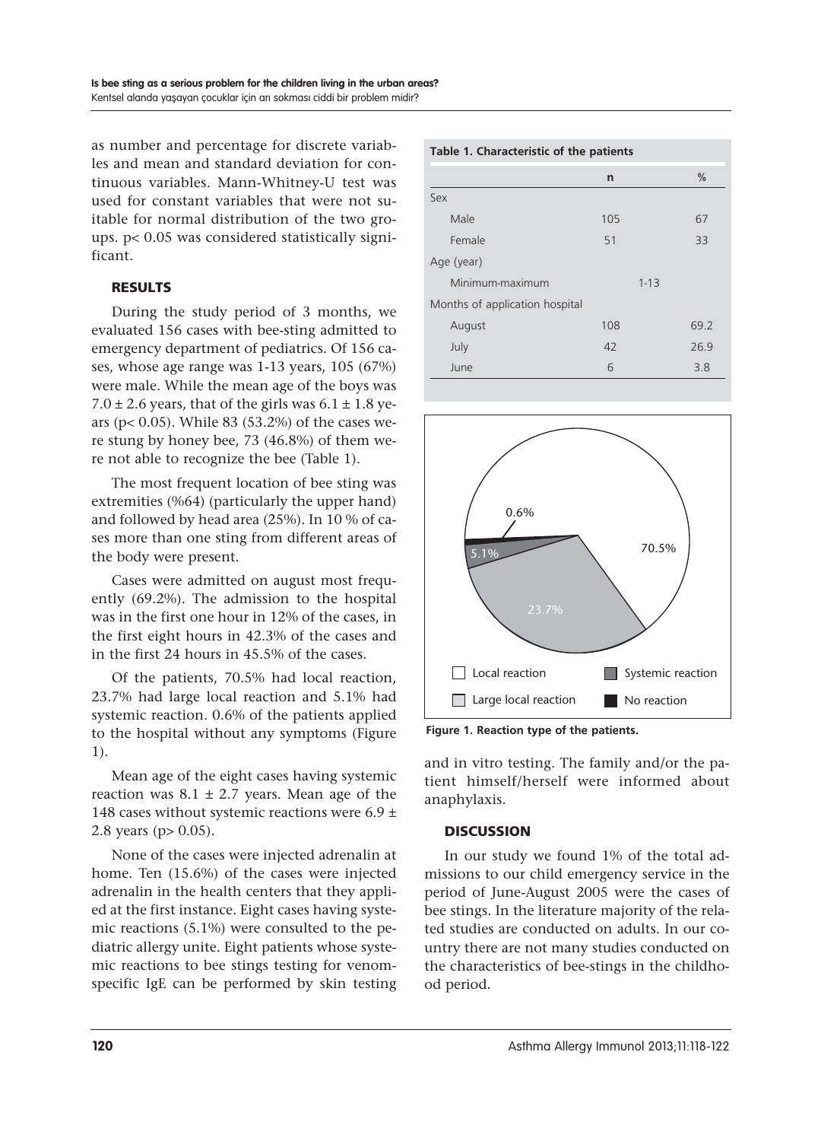as number and percentage for discrete variables and mean and standard deviation for continuous variables. Mann-Whitney-U test was used for constant variables that were not suitable for normal distribution of the two groups. p< 0.05 was considered statistically significant.

# RESULTS

During the study period of 3 months, we evaluated 156 cases with bee-sting admitted to emergency department of pediatrics. Of 156 cases, whose age range was 1-13 years, 105 (67%) were male. While the mean age of the boys was 7.0  $\pm$  2.6 years, that of the girls was 6.1  $\pm$  1.8 years (p< 0.05). While 83 (53.2%) of the cases were stung by honey bee, 73 (46.8%) of them were not able to recognize the bee (Table 1).

The most frequent location of bee sting was extremities (%64) (particularly the upper hand) and followed by head area (25%). In 10 % of cases more than one sting from different areas of the body were present.

Cases were admitted on august most frequently (69.2%). The admission to the hospital was in the first one hour in 12% of the cases, in the first eight hours in 42.3% of the cases and in the first 24 hours in 45.5% of the cases.

Of the patients, 70.5% had local reaction, 23.7% had large local reaction and 5.1% had systemic reaction. 0.6% of the patients applied to the hospital without any symptoms (Figure 1).

Mean age of the eight cases having systemic reaction was  $8.1 \pm 2.7$  years. Mean age of the 148 cases without systemic reactions were 6.9  $\pm$ 2.8 years (p> 0.05).

None of the cases were injected adrenalin at home. Ten (15.6%) of the cases were injected adrenalin in the health centers that they applied at the first instance. Eight cases having systemic reactions (5.1%) were consulted to the pediatric allergy unite. Eight patients whose systemic reactions to bee stings testing for venomspecific IgE can be performed by skin testing

# **Table 1. Characteristic of the patients n %** Sex Male 67 Female 51 33 Age (year) Minimum-maximum 1-13 Months of application hospital August 108 69.2 July 42 26.9  $June 6 3.8$



**Figure 1. Reaction type of the patients.**

and in vitro testing. The family and/or the patient himself/herself were informed about anaphylaxis.

# **DISCUSSION**

In our study we found 1% of the total admissions to our child emergency service in the period of June-August 2005 were the cases of bee stings. In the literature majority of the related studies are conducted on adults. In our country there are not many studies conducted on the characteristics of bee-stings in the childhood period.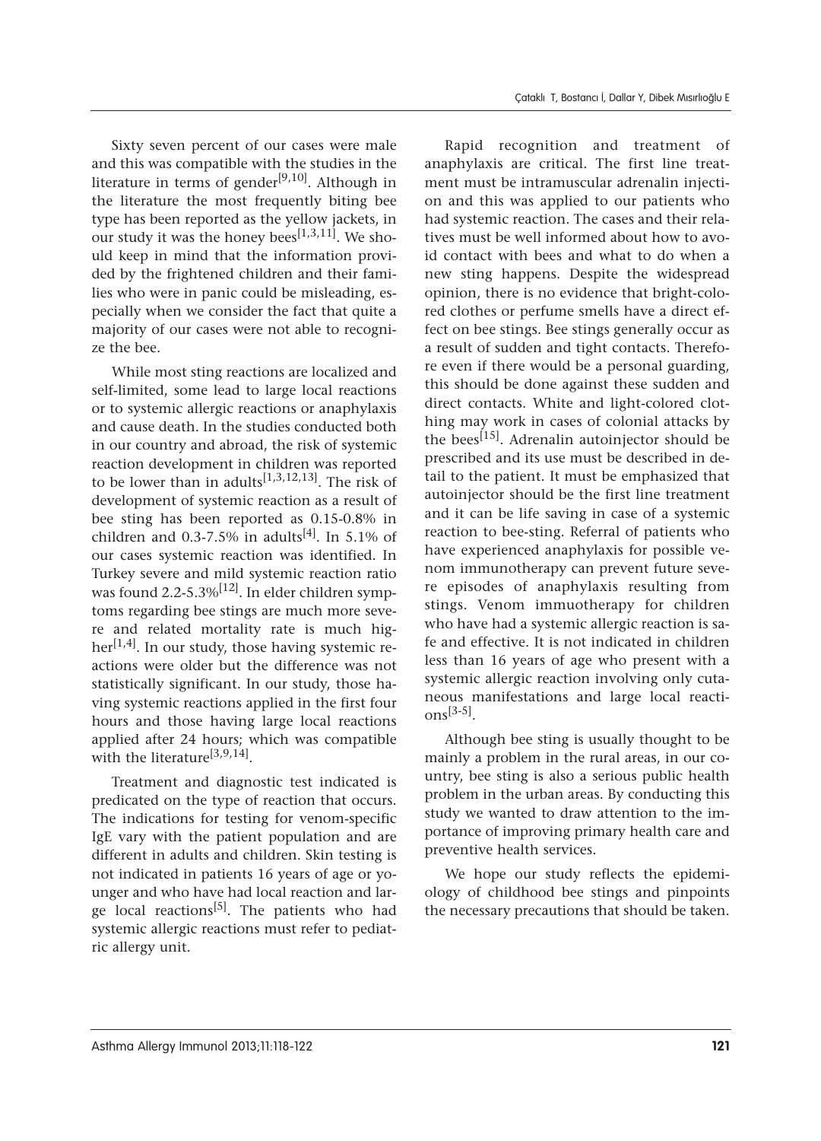Sixty seven percent of our cases were male and this was compatible with the studies in the literature in terms of gender<sup>[9,10]</sup>. Although in the literature the most frequently biting bee type has been reported as the yellow jackets, in our study it was the honey bees<sup>[1,3,11]</sup>. We should keep in mind that the information provided by the frightened children and their families who were in panic could be misleading, especially when we consider the fact that quite a majority of our cases were not able to recognize the bee.

While most sting reactions are localized and self-limited, some lead to large local reactions or to systemic allergic reactions or anaphylaxis and cause death. In the studies conducted both in our country and abroad, the risk of systemic reaction development in children was reported to be lower than in adults<sup>[1,3,12,13]</sup>. The risk of development of systemic reaction as a result of bee sting has been reported as 0.15-0.8% in children and 0.3-7.5% in adults<sup>[4]</sup>. In 5.1% of our cases systemic reaction was identified. In Turkey severe and mild systemic reaction ratio was found 2.2-5.3% $[12]$ . In elder children symptoms regarding bee stings are much more severe and related mortality rate is much higher<sup>[1,4]</sup>. In our study, those having systemic reactions were older but the difference was not statistically significant. In our study, those having systemic reactions applied in the first four hours and those having large local reactions applied after 24 hours; which was compatible with the literature<sup>[3,9,14]</sup>.

Treatment and diagnostic test indicated is predicated on the type of reaction that occurs. The indications for testing for venom-specific IgE vary with the patient population and are different in adults and children. Skin testing is not indicated in patients 16 years of age or younger and who have had local reaction and large local reactions<sup>[5]</sup>. The patients who had systemic allergic reactions must refer to pediatric allergy unit.

Rapid recognition and treatment of anaphylaxis are critical. The first line treatment must be intramuscular adrenalin injection and this was applied to our patients who had systemic reaction. The cases and their relatives must be well informed about how to avoid contact with bees and what to do when a new sting happens. Despite the widespread opinion, there is no evidence that bright-colored clothes or perfume smells have a direct effect on bee stings. Bee stings generally occur as a result of sudden and tight contacts. Therefore even if there would be a personal guarding, this should be done against these sudden and direct contacts. White and light-colored clothing may work in cases of colonial attacks by the bees<sup>[15]</sup>. Adrenalin autoinjector should be prescribed and its use must be described in detail to the patient. It must be emphasized that autoinjector should be the first line treatment and it can be life saving in case of a systemic reaction to bee-sting. Referral of patients who have experienced anaphylaxis for possible venom immunotherapy can prevent future severe episodes of anaphylaxis resulting from stings. Venom immuotherapy for children who have had a systemic allergic reaction is safe and effective. It is not indicated in children less than 16 years of age who present with a systemic allergic reaction involving only cutaneous manifestations and large local reacti $ons<sup>[3-5]</sup>$ .

Although bee sting is usually thought to be mainly a problem in the rural areas, in our country, bee sting is also a serious public health problem in the urban areas. By conducting this study we wanted to draw attention to the importance of improving primary health care and preventive health services.

We hope our study reflects the epidemiology of childhood bee stings and pinpoints the necessary precautions that should be taken.